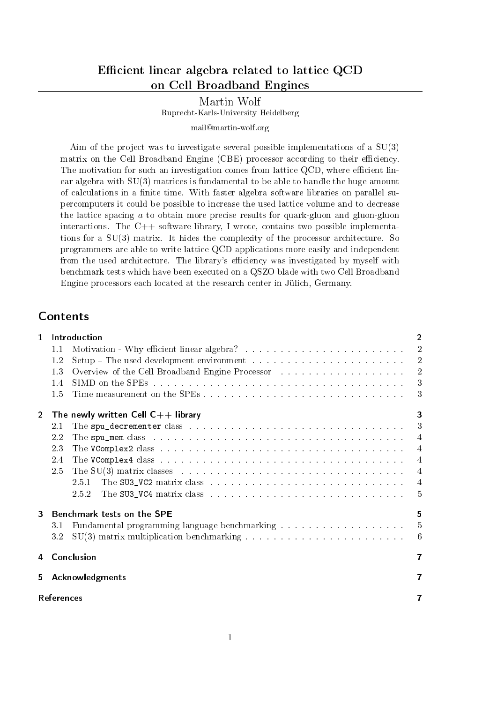## Efficient linear algebra related to lattice QCD on Cell Broadband Engines

## Martin Wolf Ruprecht-Karls-University Heidelberg

#### mail@martin-wolf.org

Aim of the project was to investigate several possible implementations of a SU(3) matrix on the Cell Broadband Engine (CBE) processor according to their efficiency. The motivation for such an investigation comes from lattice QCD, where efficient linear algebra with SU(3) matrices is fundamental to be able to handle the huge amount of calculations in a nite time. With faster algebra software libraries on parallel supercomputers it could be possible to increase the used lattice volume and to decrease the lattice spacing a to obtain more precise results for quark-gluon and gluon-gluon interactions. The  $C++$  software library, I wrote, contains two possible implementations for a SU(3) matrix. It hides the complexity of the processor architecture. So programmers are able to write lattice QCD applications more easily and independent from the used architecture. The library's efficiency was investigated by myself with benchmark tests which have been executed on a QSZO blade with two Cell Broadband Engine processors each located at the research center in Jülich, Germany.

## Contents

| $\mathbf{1}$      |                        | Introduction                                                                                                                                                                                                                   | $\overline{2}$  |  |  |  |
|-------------------|------------------------|--------------------------------------------------------------------------------------------------------------------------------------------------------------------------------------------------------------------------------|-----------------|--|--|--|
|                   | 1.1                    |                                                                                                                                                                                                                                | $\overline{2}$  |  |  |  |
|                   | 1.2                    |                                                                                                                                                                                                                                | 2               |  |  |  |
|                   | 13                     | Overview of the Cell Broadband Engine Processor (Fig. 1991) (1991) (1992) (1992) (1993) (1994) (1994) (1994) (1994) (1994) (1994) (1994) (1994) (1994) (1994) (1994) (1994) (1994) (1994) (1994) (1994) (1994) (1994) (1994) ( | $\overline{2}$  |  |  |  |
|                   | 1.4                    |                                                                                                                                                                                                                                | 3               |  |  |  |
|                   | 1.5                    |                                                                                                                                                                                                                                | 3               |  |  |  |
| $\overline{2}$    |                        | The newly written Cell $C++$ library                                                                                                                                                                                           | 3               |  |  |  |
|                   | 2.1                    |                                                                                                                                                                                                                                | 3               |  |  |  |
|                   | 2.2                    | The spu_mem class in the contract of the contract of the spu_mem class in the contract of the contract of the space of the space of the space of the space of the space of the space of the space of the space of the space of | $\overline{4}$  |  |  |  |
|                   | 23                     | The VComplex2 class with a subset of the state of the state of the vertices of the vertices of the vertices of the vertices of the vertices of the vertices of the vertices of the vertices of $\mathbf{X}$                    | $\overline{4}$  |  |  |  |
|                   | 2.4                    | The VComplex4 class research and contract the contract of the VComplex4 class research and contract the contract of the VComplex Contract to the contract of the VComplex Contract of the VComplex Contract of the VComplex Co | $\overline{4}$  |  |  |  |
|                   | 2.5                    | The SU(3) matrix classes entering the set of the set of the set of the set of the set of the set of the set of the set of the set of the set of the set of the set of the set of the set of the set of the set of the set of   | $\overline{4}$  |  |  |  |
|                   |                        | 251                                                                                                                                                                                                                            | $\overline{4}$  |  |  |  |
|                   |                        | 2.5.2                                                                                                                                                                                                                          | 5               |  |  |  |
| 3                 |                        | Benchmark tests on the SPE<br>5                                                                                                                                                                                                |                 |  |  |  |
|                   | 31                     |                                                                                                                                                                                                                                | $5\overline{)}$ |  |  |  |
|                   | 3.2                    |                                                                                                                                                                                                                                | -6              |  |  |  |
| 4                 |                        | Conclusion                                                                                                                                                                                                                     | $\overline{ }$  |  |  |  |
| 5.                | <b>Acknowledgments</b> |                                                                                                                                                                                                                                |                 |  |  |  |
| <b>References</b> |                        |                                                                                                                                                                                                                                |                 |  |  |  |
|                   |                        |                                                                                                                                                                                                                                |                 |  |  |  |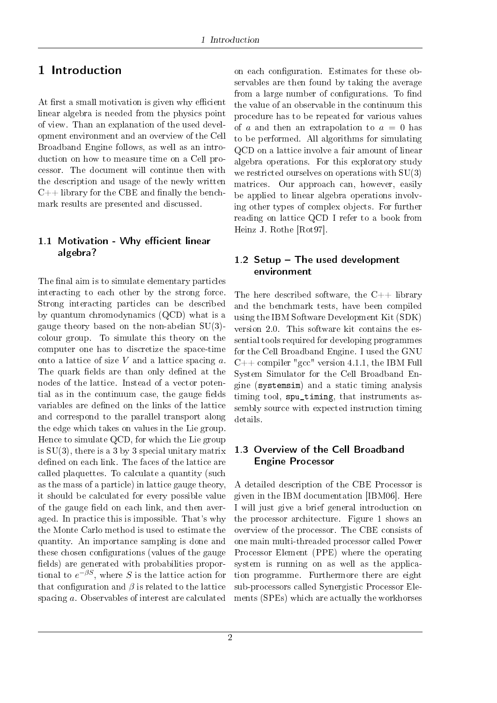## 1 Introduction

At first a small motivation is given why efficient linear algebra is needed from the physics point of view. Than an explanation of the used development environment and an overview of the Cell Broadband Engine follows, as well as an introduction on how to measure time on a Cell processor. The document will continue then with the description and usage of the newly written  $C++$  library for the CBE and finally the benchmark results are presented and discussed.

### 1.1 Motivation - Why efficient linear algebra?

The final aim is to simulate elementary particles interacting to each other by the strong force. Strong interacting particles can be described by quantum chromodynamics (QCD) what is a gauge theory based on the non-abelian SU(3) colour group. To simulate this theory on the computer one has to discretize the space-time onto a lattice of size  $V$  and a lattice spacing  $a$ . The quark fields are than only defined at the nodes of the lattice. Instead of a vector potential as in the continuum case, the gauge fields variables are defined on the links of the lattice and correspond to the parallel transport along the edge which takes on values in the Lie group. Hence to simulate QCD, for which the Lie group is  $SU(3)$ , there is a 3 by 3 special unitary matrix defined on each link. The faces of the lattice are called plaquettes. To calculate a quantity (such as the mass of a particle) in lattice gauge theory, it should be calculated for every possible value of the gauge field on each link, and then averaged. In practice this is impossible. That's why the Monte Carlo method is used to estimate the quantity. An importance sampling is done and these chosen configurations (values of the gauge fields) are generated with probabilities proportional to  $e^{-\beta S}$ , where S is the lattice action for that configuration and  $\beta$  is related to the lattice spacing a. Observables of interest are calculated

on each configuration. Estimates for these observables are then found by taking the average from a large number of configurations. To find the value of an observable in the continuum this procedure has to be repeated for various values of a and then an extrapolation to  $a = 0$  has to be performed. All algorithms for simulating QCD on a lattice involve a fair amount of linear algebra operations. For this exploratory study we restricted ourselves on operations with SU(3) matrices. Our approach can, however, easily be applied to linear algebra operations involving other types of complex objects. For further reading on lattice QCD I refer to a book from Heinz J. Rothe [Rot97].

### 1.2 Setup  $-$  The used development environment

The here described software, the  $C_{++}$  library and the benchmark tests, have been compiled using the IBM Software Development Kit (SDK) version 2.0. This software kit contains the essential tools required for developing programmes for the Cell Broadband Engine. I used the GNU  $C++$  compiler "gcc" version 4.1.1, the IBM Full System Simulator for the Cell Broadband Engine (systemsim) and a static timing analysis timing tool, spu\_timing, that instruments assembly source with expected instruction timing details.

#### 1.3 Overview of the Cell Broadband Engine Processor

A detailed description of the CBE Processor is given in the IBM documentation [IBM06]. Here I will just give a brief general introduction on the processor architecture. Figure 1 shows an overview of the processor. The CBE consists of one main multi-threaded processor called Power Processor Element (PPE) where the operating system is running on as well as the application programme. Furthermore there are eight sub-processors called Synergistic Processor Elements (SPEs) which are actually the workhorses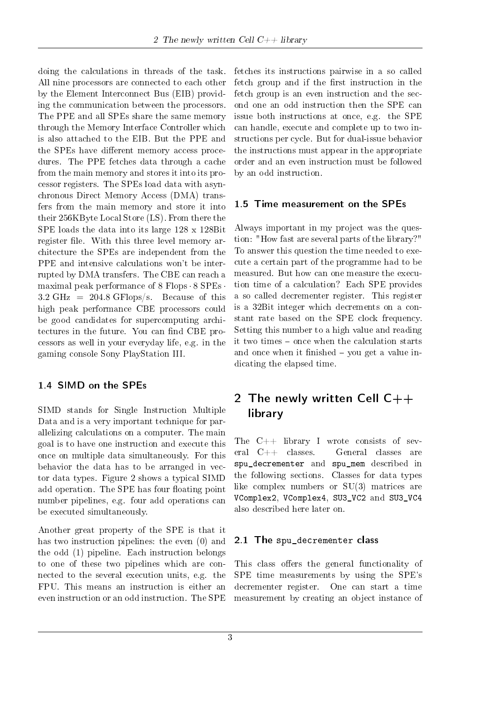doing the calculations in threads of the task. All nine processors are connected to each other by the Element Interconnect Bus (EIB) providing the communication between the processors. The PPE and all SPEs share the same memory through the Memory Interface Controller which is also attached to the EIB. But the PPE and the SPEs have different memory access procedures. The PPE fetches data through a cache from the main memory and stores it into its processor registers. The SPEs load data with asynchronous Direct Memory Access (DMA) transfers from the main memory and store it into their 256KByte Local Store (LS). From there the SPE loads the data into its large 128 x 128Bit register file. With this three level memory architecture the SPEs are independent from the PPE and intensive calculations won't be interrupted by DMA transfers. The CBE can reach a maximal peak performance of 8 Flops· 8 SPEs· 3.2 GHz =  $204.8$  GFlops/s. Because of this high peak performance CBE processors could be good candidates for supercomputing architectures in the future. You can find CBE processors as well in your everyday life, e.g. in the gaming console Sony PlayStation III.

### 1.4 SIMD on the SPEs

SIMD stands for Single Instruction Multiple Data and is a very important technique for parallelizing calculations on a computer. The main goal is to have one instruction and execute this once on multiple data simultaneously. For this behavior the data has to be arranged in vector data types. Figure 2 shows a typical SIMD add operation. The SPE has four floating point number pipelines, e.g. four add operations can be executed simultaneously.

Another great property of the SPE is that it has two instruction pipelines: the even (0) and the odd (1) pipeline. Each instruction belongs to one of these two pipelines which are connected to the several execution units, e.g. the FPU. This means an instruction is either an even instruction or an odd instruction. The SPE

fetches its instructions pairwise in a so called fetch group and if the first instruction in the fetch group is an even instruction and the second one an odd instruction then the SPE can issue both instructions at once, e.g. the SPE can handle, execute and complete up to two instructions per cycle. But for dual-issue behavior the instructions must appear in the appropriate order and an even instruction must be followed by an odd instruction.

### 1.5 Time measurement on the SPEs

Always important in my project was the question: "How fast are several parts of the library?" To answer this question the time needed to execute a certain part of the programme had to be measured. But how can one measure the execution time of a calculation? Each SPE provides a so called decrementer register. This register is a 32Bit integer which decrements on a constant rate based on the SPE clock frequency. Setting this number to a high value and reading it two times – once when the calculation starts and once when it finished – you get a value indicating the elapsed time.

# 2 The newly written Cell  $C++$ library

The  $C++$  library I wrote consists of several C++ classes. General classes are spu\_decrementer and spu\_mem described in the following sections. Classes for data types like complex numbers or SU(3) matrices are VComplex2, VComplex4, SU3\_VC2 and SU3\_VC4 also described here later on.

### 2.1 The spu\_decrementer class

This class offers the general functionality of SPE time measurements by using the SPE's decrementer register. One can start a time measurement by creating an object instance of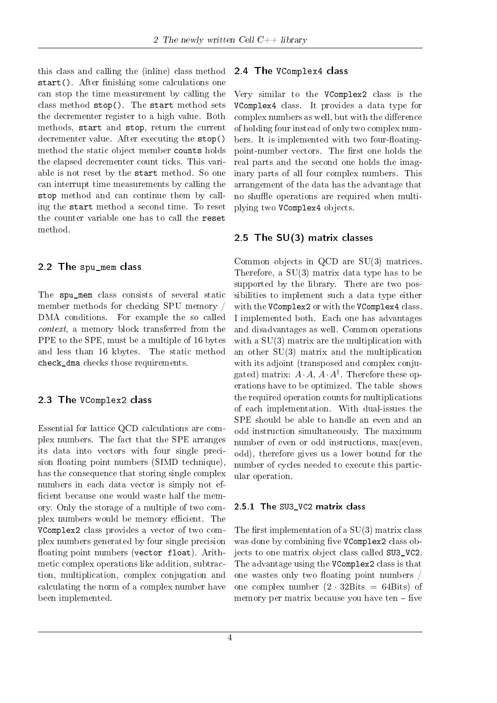this class and calling the (inline) class method start(). After finishing some calculations one can stop the time measurement by calling the class method stop(). The start method sets the decrementer register to a high value. Both methods, start and stop, return the current decrementer value. After executing the stop() method the static object member counts holds the elapsed decrementer count ticks. This variable is not reset by the start method. So one can interrupt time measurements by calling the stop method and can continue them by calling the start method a second time. To reset the counter variable one has to call the reset method.

#### 2.2 The spu\_mem class

The spu\_mem class consists of several static member methods for checking SPU memory / DMA conditions. For example the so called context, a memory block transferred from the PPE to the SPE, must be a multiple of 16 bytes and less than 16 kbytes. The static method check dma checks those requirements.

#### 2.3 The VComplex2 class

Essential for lattice QCD calculations are complex numbers. The fact that the SPE arranges its data into vectors with four single precision floating point numbers (SIMD technique), has the consequence that storing single complex numbers in each data vector is simply not ef ficient because one would waste half the memory. Only the storage of a multiple of two complex numbers would be memory efficient. The VComplex2 class provides a vector of two complex numbers generated by four single precision floating point numbers (vector float). Arithmetic complex operations like addition, subtraction, multiplication, complex conjugation and calculating the norm of a complex number have been implemented.

#### 2.4 The VComplex4 class

Very similar to the VComplex2 class is the VComplex4 class. It provides a data type for complex numbers as well, but with the difference of holding four instead of only two complex numbers. It is implemented with two four-floatingpoint-number vectors. The first one holds the real parts and the second one holds the imaginary parts of all four complex numbers. This arrangement of the data has the advantage that no shuffle operations are required when multiplying two VComplex4 objects.

#### 2.5 The SU(3) matrix classes

Common objects in QCD are SU(3) matrices. Therefore, a  $SU(3)$  matrix data type has to be supported by the library. There are two possibilities to implement such a data type either with the VComplex2 or with the VComplex4 class. I implemented both. Each one has advantages and disadvantages as well. Common operations with a  $SU(3)$  matrix are the multiplication with an other SU(3) matrix and the multiplication with its adjoint (transposed and complex conjugated) matrix:  $A \cdot A$ ,  $A \cdot A^{\dagger}$ . Therefore these operations have to be optimized. The table shows the required operation counts for multiplications of each implementation. With dual-issues the SPE should be able to handle an even and an odd instruction simultaneously. The maximum number of even or odd instructions, max(even, odd), therefore gives us a lower bound for the number of cycles needed to execute this particular operation.

#### 2.5.1 The SU3 VC2 matrix class

The first implementation of a  $SU(3)$  matrix class was done by combining five VComplex2 class objects to one matrix object class called SU3\_VC2. The advantage using the VComplex2 class is that one wastes only two floating point numbers / one complex number  $(2 \cdot 32Bits = 64Bits)$  of memory per matrix because you have ten  $-$  five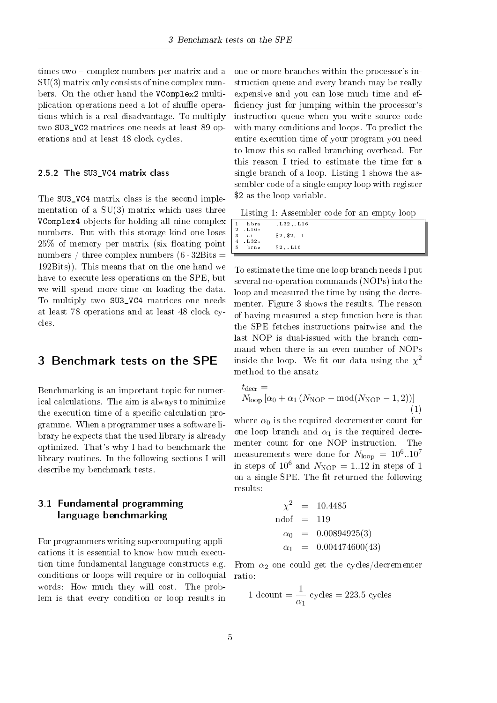times two – complex numbers per matrix and a  $SU(3)$  matrix only consists of nine complex numbers. On the other hand the VComplex2 multiplication operations need a lot of shuffle operations which is a real disadvantage. To multiply two SU3\_VC2 matrices one needs at least 89 operations and at least 48 clock cycles.

#### 2.5.2 The SU3 VC4 matrix class

The SU3 VC4 matrix class is the second implementation of a  $SU(3)$  matrix which uses three VComplex4 objects for holding all nine complex numbers. But with this storage kind one loses  $25\%$  of memory per matrix (six floating point numbers / three complex numbers  $(6 \cdot 32B)$ its = 192Bits)). This means that on the one hand we have to execute less operations on the SPE, but we will spend more time on loading the data. To multiply two SU3\_VC4 matrices one needs at least 78 operations and at least 48 clock cycles.

### 3 Benchmark tests on the SPE

Benchmarking is an important topic for numerical calculations. The aim is always to minimize the execution time of a specific calculation programme. When a programmer uses a software library he expects that the used library is already optimized. That's why I had to benchmark the library routines. In the following sections I will describe my benchmark tests.

#### 3.1 Fundamental programming language benchmarking

For programmers writing supercomputing applications it is essential to know how much execution time fundamental language constructs e.g. conditions or loops will require or in colloquial words: How much they will cost. The problem is that every condition or loop results in

one or more branches within the processor's instruction queue and every branch may be really expensive and you can lose much time and ef ficiency just for jumping within the processor's instruction queue when you write source code with many conditions and loops. To predict the entire execution time of your program you need to know this so called branching overhead. For this reason I tried to estimate the time for a single branch of a loop. Listing 1 shows the assembler code of a single empty loop with register \$2 as the loop variable.

Listing 1: Assembler code for an empty loop

| 1 hbra                  | $L32$ , $L16$ |  |
|-------------------------|---------------|--|
| $2 L16$ :               |               |  |
| 3 ai                    | $$2, $2,-1$   |  |
| $4$ $L32$ :             |               |  |
| $5 \quad \text{brn } z$ | $$2$ , $L16$  |  |
|                         |               |  |

To estimate the time one loop branch needs I put several no-operation commands (NOPs) into the loop and measured the time by using the decrementer. Figure 3 shows the results. The reason of having measured a step function here is that the SPE fetches instructions pairwise and the last NOP is dual-issued with the branch command when there is an even number of NOPs inside the loop. We fit our data using the  $\chi^2$ method to the ansatz

$$
t_{\text{decr}} = N_{\text{loop}} \left[ \alpha_0 + \alpha_1 \left( N_{\text{NOP}} - \text{mod} (N_{\text{NOP}} - 1, 2) \right) \right] \tag{1}
$$

where  $\alpha_0$  is the required decrementer count for one loop branch and  $\alpha_1$  is the required decrementer count for one NOP instruction. The measurements were done for  $N_{\rm loop}\,=\,10^6..10^7$ in steps of  $10^6$  and  $N_{\text{NOP}} = 1.12$  in steps of 1 on a single SPE. The fit returned the following results:

$$
\chi^2 = 10.4485
$$
  
ndof = 119  

$$
\alpha_0 = 0.00894925(3)
$$
  

$$
\alpha_1 = 0.004474600(43)
$$

From  $\alpha_2$  one could get the cycles/decrementer ratio:

1 
$$
0
$$
  $\text{down} = \frac{1}{\alpha_1} \text{ cycles} = 223.5 \text{ cycles}$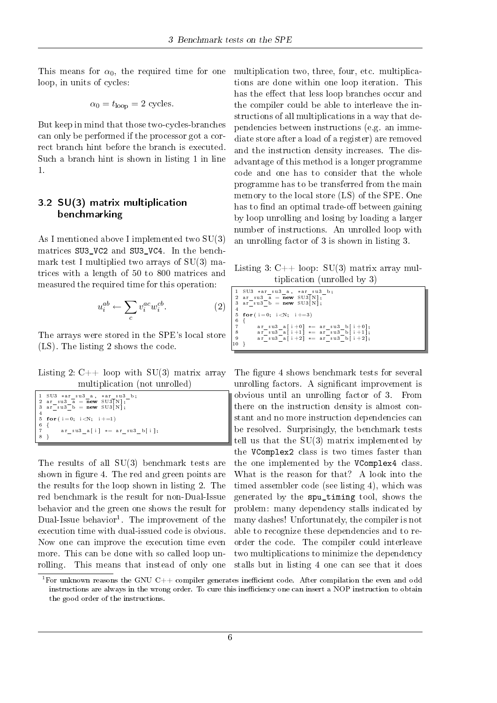This means for  $\alpha_0$ , the required time for one loop, in units of cycles:

$$
\alpha_0 = t_{\rm loop} = 2
$$
 cycles.

But keep in mind that those two-cycles-branches can only be performed if the processor got a correct branch hint before the branch is executed. Such a branch hint is shown in listing 1 in line 1.

#### 3.2 SU(3) matrix multiplication benchmarking

As I mentioned above I implemented two SU(3) matrices SU3\_VC2 and SU3\_VC4. In the benchmark test I multiplied two arrays of SU(3) matrices with a length of 50 to 800 matrices and measured the required time for this operation:

$$
u_i^{ab} \leftarrow \sum_c v_i^{ac} w_i^{cb}.
$$
 (2)

The arrays were stored in the SPE's local store (LS). The listing 2 shows the code.

Listing 2:  $C++$  loop with SU(3) matrix array multiplication (not unrolled)

|    | 1 SU3 *ar su3 a, *ar su3 b;    |
|----|--------------------------------|
|    | 2 ar su3 a = $new$ SU3[N];     |
|    | 3 ar su3 b = $new$ SU3[N];     |
|    |                                |
|    | 5 for $(i=0; i\le N; i+=1)$    |
| 6  |                                |
|    | ar su3 a[i] $* =$ ar su3 b[i]; |
| -8 |                                |

The results of all SU(3) benchmark tests are shown in figure 4. The red and green points are the results for the loop shown in listing 2. The red benchmark is the result for non-Dual-Issue behavior and the green one shows the result for Dual-Issue behavior<sup>1</sup>. The improvement of the execution time with dual-issued code is obvious. Now one can improve the execution time even more. This can be done with so called loop unrolling. This means that instead of only one multiplication two, three, four, etc. multiplications are done within one loop iteration. This has the effect that less loop branches occur and the compiler could be able to interleave the instructions of all multiplications in a way that dependencies between instructions (e.g. an immediate store after a load of a register) are removed and the instruction density increases. The disadvantage of this method is a longer programme code and one has to consider that the whole programme has to be transferred from the main memory to the local store (LS) of the SPE. One has to find an optimal trade-off between gaining by loop unrolling and losing by loading a larger number of instructions. An unrolled loop with an unrolling factor of 3 is shown in listing 3.

Listing 3:  $C++$  loop:  $SU(3)$  matrix array multiplication (unrolled by 3)

|                                       | $1$ SU3 $*$ ar su3 a, $*$ ar su3 b;<br>  2 ar su3 a = new SU3 [N];<br>$3 \text{ ar}$ su3 b = new SU3 [N]; |
|---------------------------------------|-----------------------------------------------------------------------------------------------------------|
| $\overline{4}$                        |                                                                                                           |
|                                       | 5 for $(i = 0; i < N; i += 3)$                                                                            |
| 6                                     |                                                                                                           |
|                                       | ar su3 a [i+0] $*=$ ar su3 b   i +0 ;                                                                     |
|                                       | ar su3 a [i+1] $* = ar$ su3 b [i+1];                                                                      |
| $\begin{array}{c} 8 \\ 9 \end{array}$ | ar su3 a [i+2] $*=$ ar su3 b [i+2];                                                                       |
| l 10                                  |                                                                                                           |

The figure 4 shows benchmark tests for several unrolling factors. A significant improvement is obvious until an unrolling factor of 3. From there on the instruction density is almost constant and no more instruction dependencies can be resolved. Surprisingly, the benchmark tests tell us that the SU(3) matrix implemented by the VComplex2 class is two times faster than the one implemented by the VComplex4 class. What is the reason for that? A look into the timed assembler code (see listing 4), which was generated by the spu\_timing tool, shows the problem: many dependency stalls indicated by many dashes! Unfortunately, the compiler is not able to recognize these dependencies and to reorder the code. The compiler could interleave two multiplications to minimize the dependency stalls but in listing 4 one can see that it does

 ${}^{1}$ For unknown reasons the GNU C++ compiler generates inefficient code. After compilation the even and odd instructions are always in the wrong order. To cure this inefficiency one can insert a NOP instruction to obtain the good order of the instructions.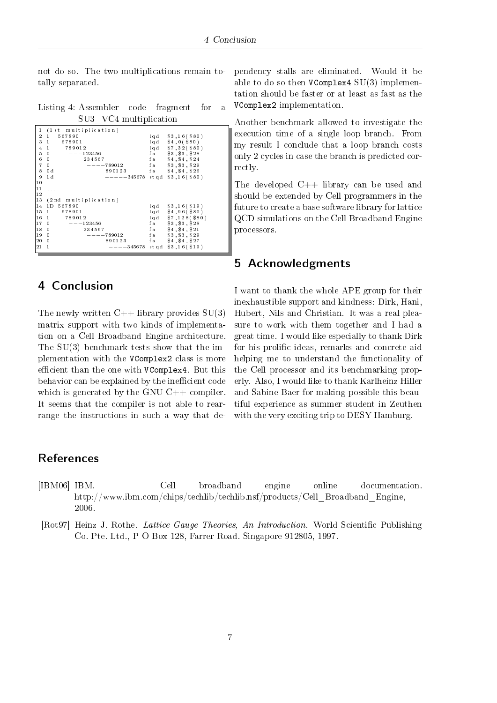not do so. The two multiplications remain totally separated.

Listing 4: Assembler code fragment for a SU3\_VC4 multiplication

| 1              | (1st multiplication)             |                                |             |                       |
|----------------|----------------------------------|--------------------------------|-------------|-----------------------|
| $\overline{2}$ | 567890<br>$\mathbf{1}$           |                                |             | $1qd$ $$3,16 ( $80)$  |
| 3              | $\mathbf{1}$<br>678901           |                                |             | $1qd$ \$4,0(\$80)     |
| 4              | 789012<br>$\mathbf{1}$           |                                |             | $1qd$ \$7,32 (\$80)   |
| 5              | $---123456$<br>$\mathbf{0}$      |                                | f a         | \$3, \$3, \$28        |
| 6              | $\mathbf{0}$                     | 234567                         |             | fa \$4, \$4, \$24     |
| $\overline{7}$ | $\mathbf{0}$                     | $---789012$                    |             | fa \$3, \$3, \$29     |
| 8              | 0d                               | 890123                         |             | fa \$4, \$4, \$26     |
| 9              | 1 <sub>d</sub>                   | $----345678$ stgd \$3,16(\$80) |             |                       |
| 10             |                                  |                                |             |                       |
| 11             | $\alpha$ , $\alpha$ , $\alpha$   |                                |             |                       |
| 12             |                                  |                                |             |                       |
| 13             | (2nd multiplication)             |                                |             |                       |
| 14             | 1D 567890                        |                                |             | $1qd$ $$3,16($ $$19)$ |
| 15             | $\mathbf{1}$<br>678901           |                                |             | $1qd$ $$4,96 ( $80)$  |
| 16             | 789012<br>$\mathbf{1}$           |                                |             | $1qd$ \$7,128(\$80)   |
| 17             | $\overline{0}$<br>$- - - 123456$ |                                | f a         | \$3, \$3, \$28        |
| 18             | $\bf{0}$                         | 234567                         | fa          | \$4, \$4, \$21        |
| 19             | $\bf{0}$                         | $---789012$                    | f a control | \$3, \$3, \$29        |
| 20             | $\overline{0}$                   | 890123                         |             | fa \$4, \$4, \$27     |
| 21             | $\mathbf{1}$                     | $---345678$ stgd \$3,16(\$19)  |             |                       |
|                |                                  |                                |             |                       |
|                |                                  |                                |             |                       |

### 4 Conclusion

The newly written  $C_{++}$  library provides  $SU(3)$ matrix support with two kinds of implementation on a Cell Broadband Engine architecture. The SU(3) benchmark tests show that the implementation with the VComplex2 class is more efficient than the one with VComplex4. But this behavior can be explained by the inefficient code which is generated by the GNU  $C++$  compiler. It seems that the compiler is not able to rearrange the instructions in such a way that dependency stalls are eliminated. Would it be able to do so then  $VComplex4 SU(3)$  implementation should be faster or at least as fast as the VComplex2 implementation.

Another benchmark allowed to investigate the execution time of a single loop branch. From my result I conclude that a loop branch costs only 2 cycles in case the branch is predicted correctly.

The developed C++ library can be used and should be extended by Cell programmers in the future to create a base software library for lattice QCD simulations on the Cell Broadband Engine processors.

### 5 Acknowledgments

I want to thank the whole APE group for their inexhaustible support and kindness: Dirk, Hani, Hubert, Nils and Christian. It was a real pleasure to work with them together and I had a great time. I would like especially to thank Dirk for his prolific ideas, remarks and concrete aid helping me to understand the functionality of the Cell processor and its benchmarking properly. Also, I would like to thank Karlheinz Hiller and Sabine Baer for making possible this beautiful experience as summer student in Zeuthen with the very exciting trip to DESY Hamburg.

### References

- [IBM06] IBM. Cell broadband engine online documentation. http://www.ibm.com/chips/techlib/techlib.nsf/products/Cell\_Broadband\_Engine, 2006.
- [Rot97] Heinz J. Rothe. Lattice Gauge Theories, An Introduction. World Scientific Publishing Co. Pte. Ltd., P O Box 128, Farrer Road. Singapore 912805, 1997.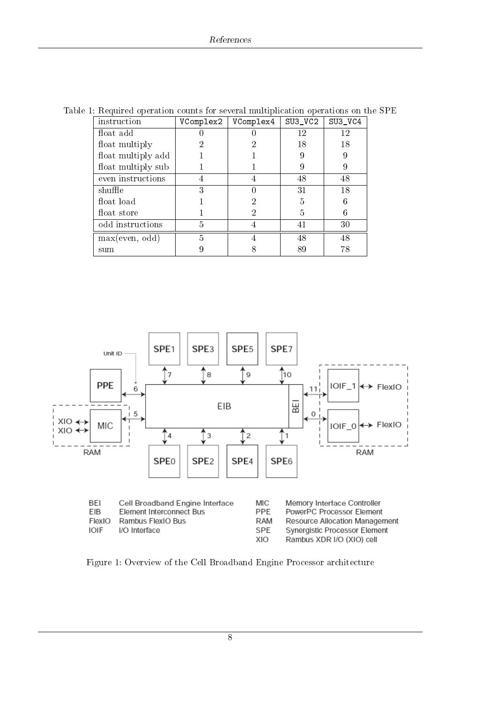| instruction        | VComplex2 | VComplex4 | $SU3$ <sub>_VC2</sub> | SU3_VC4 |
|--------------------|-----------|-----------|-----------------------|---------|
| float add          |           |           | 12                    | 12      |
| float multiply     |           |           | 18                    | 18      |
| float multiply add |           |           | 9                     | 9       |
| float multiply sub |           |           | 9                     | 9       |
| even instructions  | 4         |           | 48                    | 48      |
| shuffle            | 3         |           | 31                    | 18      |
| float load         |           |           | 5                     | 6       |
| float store        |           |           | 5                     | 6       |
| odd instructions   | 5         |           | 41                    | 30      |
| max(even, odd)     | 5         |           | 48                    | 48      |
| sum                |           |           | 89                    | 78      |

Table 1: Required operation counts for several multiplication operations on the SPE



Figure 1: Overview of the Cell Broadband Engine Processor architecture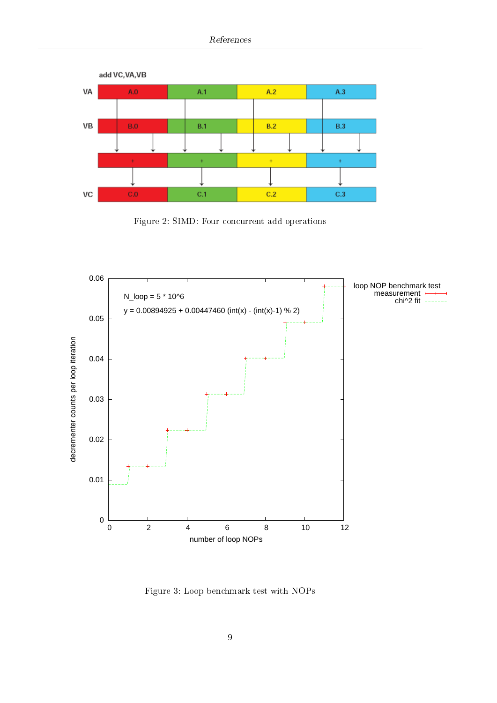

Figure 2: SIMD: Four concurrent add operations



Figure 3: Loop benchmark test with NOPs